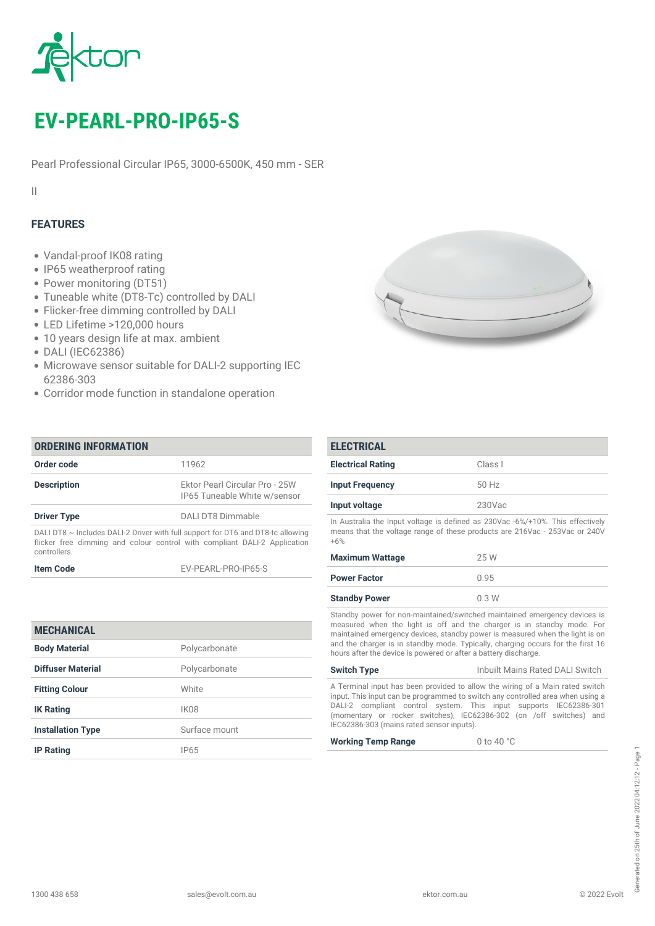

# *EV-PEARL-PRO-IP65-S*

*Pearl Professional Circular IP65, 3000-6500K, 450 mm - SER*

*II*

## *FEATURES*

- *Vandal-proof IK08 rating*
- *IP65 weatherproof rating*
- *Power monitoring (DT51)*
- *Tuneable white (DT8-Tc) controlled by DALI*
- *Flicker-free dimming controlled by DALI*
- *LED Lifetime >120,000 hours*
- *10 years design life at max. ambient*
- *DALI (IEC62386)*
- *Microwave sensor suitable for DALI-2 supporting IEC 62386-303*
- *Corridor mode function in standalone operation*

| <b>ORDERING INFORMATION</b>                                                                                                                                                       |                                                                |
|-----------------------------------------------------------------------------------------------------------------------------------------------------------------------------------|----------------------------------------------------------------|
| Order code                                                                                                                                                                        | 11962                                                          |
| <b>Description</b>                                                                                                                                                                | Ektor Pearl Circular Pro - 25W<br>IP65 Tuneable White w/sensor |
| <b>Driver Type</b>                                                                                                                                                                | DALLDT8 Dimmable                                               |
| DALI DT8 $\sim$ Includes DALI-2 Driver with full support for DT6 and DT8-tc allowing<br>flicker free dimming and colour control with compliant DALI-2 Application<br>controllers. |                                                                |
| <b>Item Code</b>                                                                                                                                                                  | EV-PEARL-PRO-IP65-S                                            |

| <b>Electrical Rating</b>                                                                                                                                              | Class I                                                                                                                                                                                                                             |
|-----------------------------------------------------------------------------------------------------------------------------------------------------------------------|-------------------------------------------------------------------------------------------------------------------------------------------------------------------------------------------------------------------------------------|
| <b>Input Frequency</b>                                                                                                                                                | 50 Hz                                                                                                                                                                                                                               |
| Input voltage                                                                                                                                                         | $230$ Vac                                                                                                                                                                                                                           |
| In Australia the Input voltage is defined as 230Vac -6%/+10%. This effectively<br>means that the voltage range of these products are 216Vac - 253Vac or 240V<br>$+6%$ |                                                                                                                                                                                                                                     |
| <b>Maximum Wattage</b>                                                                                                                                                | 25 W                                                                                                                                                                                                                                |
| <b>Power Factor</b>                                                                                                                                                   | 0.95                                                                                                                                                                                                                                |
| <b>Standby Power</b>                                                                                                                                                  | 0.3W                                                                                                                                                                                                                                |
|                                                                                                                                                                       | Standby power for non-maintained/switched maintained emergency devices is<br>measured when the light is off and the charger is in standby mode. For<br>maintained emergency devices, standby power is measured when the light is on |

| <b>MECHANICAL</b>        |                  |
|--------------------------|------------------|
| <b>Body Material</b>     | Polycarbonate    |
| Diffuser Material        | Polycarbonate    |
| <b>Fitting Colour</b>    | White            |
| <b>IK Rating</b>         | IK <sub>08</sub> |
| <b>Installation Type</b> | Surface mount    |
| <b>IP Rating</b>         | IP65             |

*A Terminal input has been provided to allow the wiring of a Main rated switch input. This input can be programmed to switch any controlled area when using a DALI-2 compliant control system. This input supports IEC62386-301 (momentary or rocker switches), IEC62386-302 (on /off switches) and IEC62386-303 (mains rated sensor inputs).*

*and the charger is in standby mode. Typically, charging occurs for the first 16*

*Switch Type Inbuilt Mains Rated DALI Switch*

*hours after the device is powered or after a battery discharge.*

*Working Temp Range 0 to 40 °C*

*ELECTRICAL*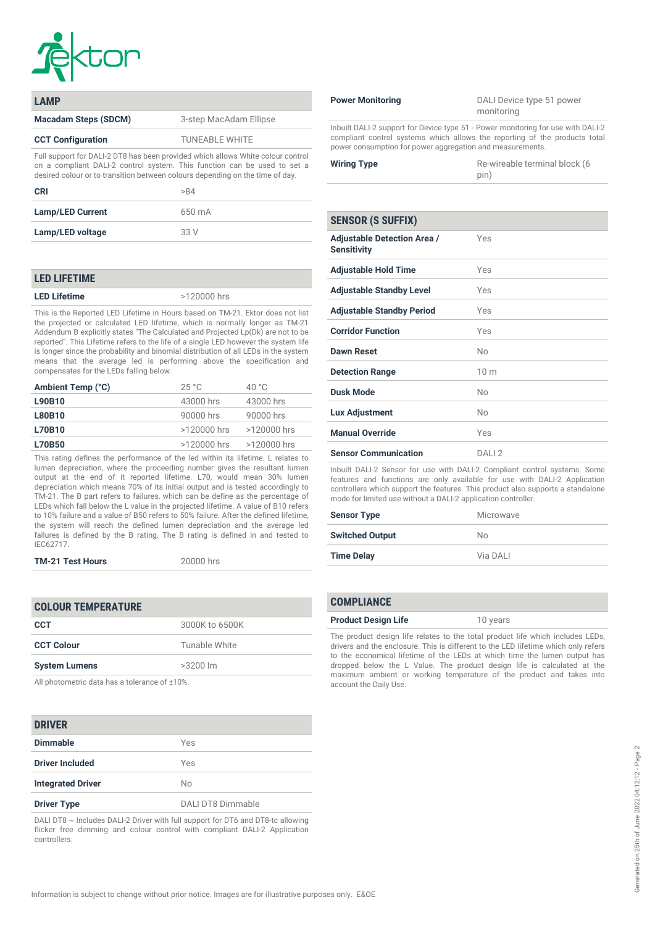

| <b>LAMP</b>                                                                                                                                                                                                                                  |                        |
|----------------------------------------------------------------------------------------------------------------------------------------------------------------------------------------------------------------------------------------------|------------------------|
| <b>Macadam Steps (SDCM)</b>                                                                                                                                                                                                                  | 3-step MacAdam Ellipse |
| <b>CCT Configuration</b>                                                                                                                                                                                                                     | <b>TUNEABLE WHITE</b>  |
| Full support for DALI-2 DT8 has been provided which allows White colour control<br>on a compliant DALI-2 control system. This function can be used to set a<br>desired colour or to transition between colours depending on the time of day. |                        |

| <b>CRI</b>              | >84    |
|-------------------------|--------|
| <b>Lamp/LED Current</b> | 650 mA |
| Lamp/LED voltage        | 33 V   |

### *LED LIFETIME*

*LED Lifetime >120000 hrs*

*This is the Reported LED Lifetime in Hours based on TM-21. Ektor does not list the projected or calculated LED lifetime, which is normally longer as TM-21 Addendum B explicitly states "The Calculated and Projected Lp(Dk) are not to be reported". This Lifetime refers to the life of a single LED however the system life is longer since the probability and binomial distribution of all LEDs in the system means that the average led is performing above the specification and compensates for the LEDs falling below.*

| 25 °C       | 40 $^{\circ}$ C |
|-------------|-----------------|
| 43000 hrs   | 43000 hrs       |
| 90000 hrs   | 90000 hrs       |
| >120000 hrs | >120000 hrs     |
| >120000 hrs | >120000 hrs     |
|             |                 |

*This rating defines the performance of the led within its lifetime. L relates to lumen depreciation, where the proceeding number gives the resultant lumen output at the end of it reported lifetime. L70, would mean 30% lumen depreciation which means 70% of its initial output and is tested accordingly to TM-21. The B part refers to failures, which can be define as the percentage of LEDs which fall below the L value in the projected lifetime. A value of B10 refers to 10% failure and a value of B50 refers to 50% failure. After the defined lifetime, the system will reach the defined lumen depreciation and the average led failures is defined by the B rating. The B rating is defined in and tested to IEC62717.*

### *TM-21 Test Hours 20000 hrs*

| <b>COLOUR TEMPERATURE</b> |                |
|---------------------------|----------------|
| <b>CCT</b>                | 3000K to 6500K |
| <b>CCT Colour</b>         | Tunable White  |
| <b>System Lumens</b>      | $>3200$ lm     |

*All photometric data has a tolerance of ±10%.*

### *DRIVER*

| PINTEIN                  |                   |
|--------------------------|-------------------|
| <b>Dimmable</b>          | Yes               |
| <b>Driver Included</b>   | Yes               |
| <b>Integrated Driver</b> | No                |
| <b>Driver Type</b>       | DALI DT8 Dimmable |

*DALI DT8 ~ Includes DALI-2 Driver with full support for DT6 and DT8-tc allowing flicker free dimming and colour control with compliant DALI-2 Application controllers.*

*Power Monitoring DALI Device type 51 power monitoring*

*Inbuilt DALI-2 support for Device type 51 - Power monitoring for use with DALI-2 compliant control systems which allows the reporting of the products total power consumption for power aggregation and measurements.*

| <b>Wiring Type</b> | Re-wireable terminal block (6 |
|--------------------|-------------------------------|
|                    | pin)                          |

| <b>SENSOR (S SUFFIX)</b>                                 |                 |
|----------------------------------------------------------|-----------------|
| <b>Adjustable Detection Area /</b><br><b>Sensitivity</b> | Yes             |
| <b>Adjustable Hold Time</b>                              | Yes             |
| <b>Adjustable Standby Level</b>                          | Yes             |
| <b>Adjustable Standby Period</b>                         | Yes             |
| <b>Corridor Function</b>                                 | Yes             |
| <b>Dawn Reset</b>                                        | No              |
| <b>Detection Range</b>                                   | 10 <sub>m</sub> |
| <b>Dusk Mode</b>                                         | Nο              |
| Lux Adjustment                                           | Nο              |
| <b>Manual Override</b>                                   | Yes             |
| <b>Sensor Communication</b>                              | DAII2           |

*Inbuilt DALI-2 Sensor for use with DALI-2 Compliant control systems. Some features and functions are only available for use with DALI-2 Application controllers which support the features. This product also supports a standalone mode for limited use without a DALI-2 application controller.*

| <b>Sensor Type</b>     | Microwave |
|------------------------|-----------|
| <b>Switched Output</b> | No.       |
| <b>Time Delay</b>      | Via DALI  |

### *COMPLIANCE*

*The product design life relates to the total product life which includes LEDs, drivers and the enclosure. This is different to the LED lifetime which only refers to the economical lifetime of the LEDs at which time the lumen output has dropped below the L Value. The product design life is calculated at the maximum ambient or working temperature of the product and takes into account the Daily Use.*